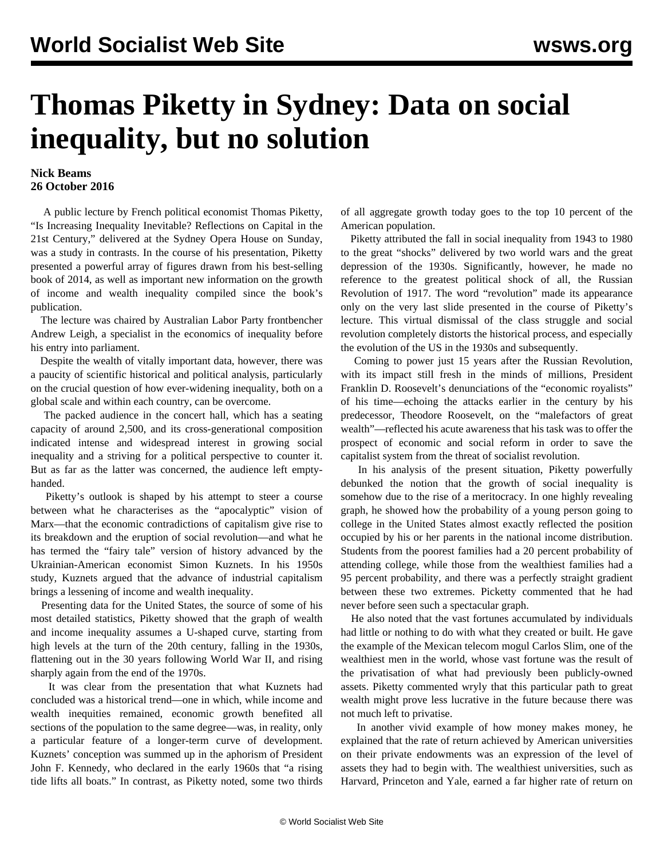## **Thomas Piketty in Sydney: Data on social inequality, but no solution**

## **Nick Beams 26 October 2016**

 A public lecture by French political economist Thomas Piketty, "Is Increasing Inequality Inevitable? Reflections on Capital in the 21st Century," delivered at the Sydney Opera House on Sunday, was a study in contrasts. In the course of his presentation, Piketty presented a powerful array of figures drawn from his best-selling book of 2014, as well as important new information on the growth of income and wealth inequality compiled since the book's publication.

 The lecture was chaired by Australian Labor Party frontbencher Andrew Leigh, a specialist in the economics of inequality before his entry into parliament.

 Despite the wealth of vitally important data, however, there was a paucity of scientific historical and political analysis, particularly on the crucial question of how ever-widening inequality, both on a global scale and within each country, can be overcome.

 The packed audience in the concert hall, which has a seating capacity of around 2,500, and its cross-generational composition indicated intense and widespread interest in growing social inequality and a striving for a political perspective to counter it. But as far as the latter was concerned, the audience left emptyhanded.

 Piketty's outlook is shaped by his attempt to steer a course between what he characterises as the "apocalyptic" vision of Marx—that the economic contradictions of capitalism give rise to its breakdown and the eruption of social revolution—and what he has termed the "fairy tale" version of history advanced by the Ukrainian-American economist Simon Kuznets. In his 1950s study, Kuznets argued that the advance of industrial capitalism brings a lessening of income and wealth inequality.

 Presenting data for the United States, the source of some of his most detailed statistics, Piketty showed that the graph of wealth and income inequality assumes a U-shaped curve, starting from high levels at the turn of the 20th century, falling in the 1930s, flattening out in the 30 years following World War II, and rising sharply again from the end of the 1970s.

 It was clear from the presentation that what Kuznets had concluded was a historical trend—one in which, while income and wealth inequities remained, economic growth benefited all sections of the population to the same degree—was, in reality, only a particular feature of a longer-term curve of development. Kuznets' conception was summed up in the aphorism of President John F. Kennedy, who declared in the early 1960s that "a rising tide lifts all boats." In contrast, as Piketty noted, some two thirds

of all aggregate growth today goes to the top 10 percent of the American population.

 Piketty attributed the fall in social inequality from 1943 to 1980 to the great "shocks" delivered by two world wars and the great depression of the 1930s. Significantly, however, he made no reference to the greatest political shock of all, the Russian Revolution of 1917. The word "revolution" made its appearance only on the very last slide presented in the course of Piketty's lecture. This virtual dismissal of the class struggle and social revolution completely distorts the historical process, and especially the evolution of the US in the 1930s and subsequently.

 Coming to power just 15 years after the Russian Revolution, with its impact still fresh in the minds of millions, President Franklin D. Roosevelt's denunciations of the "economic royalists" of his time—echoing the attacks earlier in the century by his predecessor, Theodore Roosevelt, on the "malefactors of great wealth"—reflected his acute awareness that his task was to offer the prospect of economic and social reform in order to save the capitalist system from the threat of socialist revolution.

 In his analysis of the present situation, Piketty powerfully debunked the notion that the growth of social inequality is somehow due to the rise of a meritocracy. In one highly revealing graph, he showed how the probability of a young person going to college in the United States almost exactly reflected the position occupied by his or her parents in the national income distribution. Students from the poorest families had a 20 percent probability of attending college, while those from the wealthiest families had a 95 percent probability, and there was a perfectly straight gradient between these two extremes. Picketty commented that he had never before seen such a spectacular graph.

 He also noted that the vast fortunes accumulated by individuals had little or nothing to do with what they created or built. He gave the example of the Mexican telecom mogul Carlos Slim, one of the wealthiest men in the world, whose vast fortune was the result of the privatisation of what had previously been publicly-owned assets. Piketty commented wryly that this particular path to great wealth might prove less lucrative in the future because there was not much left to privatise.

 In another vivid example of how money makes money, he explained that the rate of return achieved by American universities on their private endowments was an expression of the level of assets they had to begin with. The wealthiest universities, such as Harvard, Princeton and Yale, earned a far higher rate of return on